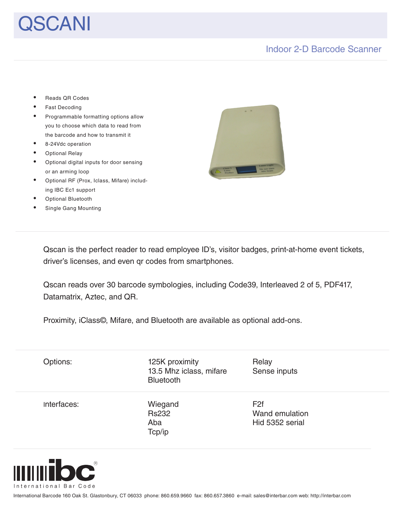# SCANI

# Indoor 2-D Barcode Scanner

- Fast Decoding Programmable formatting options allow you to choose which data to read from the barcode and how to transmit it 8-24Vdc operation **Optional Relay** Optional digital inputs for door sensing or an arming loop Optional RF (Prox, Iclass, Mifare) including IBC Ec1 support
- **Optional Bluetooth**
- Single Gang Mounting

Reads QR Codes



Qscan is the perfect reader to read employee ID's, visitor badges, print-at-home event tickets, driver's licenses, and even qr codes from smartphones.

Qscan reads over 30 barcode symbologies, including Code39, Interleaved 2 of 5, PDF417, Datamatrix, Aztec, and QR.

Proximity, iClass©, Mifare, and Bluetooth are available as optional add-ons.

| Options:    | 125K proximity<br>13.5 Mhz iclass, mifare<br><b>Bluetooth</b> | Relay<br>Sense inputs |
|-------------|---------------------------------------------------------------|-----------------------|
| Interfaces: | Wiegand                                                       | F <sub>2f</sub>       |
|             | <b>Rs232</b>                                                  | Wand emulation        |
|             | Aba                                                           | Hid 5352 serial       |
|             | Tcp/ip                                                        |                       |



International Barcode 160 Oak St. Glastonbury, CT 06033 phone: 860.659.9660 fax: 860.657.3860 e-mail: sales@interbar.com web: http://interbar.com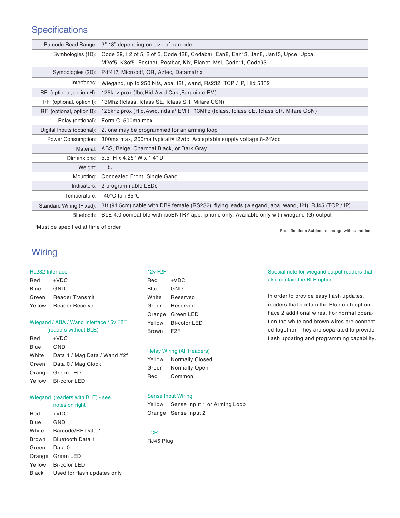# **Specifications**

| Barcode Read Range:        | 3"-18" depending on size of barcode                                                                               |
|----------------------------|-------------------------------------------------------------------------------------------------------------------|
| Symbologies (1D):          | Code 39, 12 of 5, 2 of 5, Code 128, Codabar, Ean8, Ean13, Jan8, Jan13, Upce, Upca,                                |
|                            | M2of5, K3of5, Postnet, Postbar, Kix, Planet, Msi, Code11, Code93                                                  |
| Symbologies (2D):          | Pdf417, Micropdf, QR, Aztec, Datamatrix                                                                           |
| Interfaces:                | Wiegand, up to 250 bits, aba, f2f, wand, Rs232, TCP / IP, Hid 5352                                                |
| RF (optional, option H):   | 125khz prox (Ibc, Hid, Awid, Casi, Farpointe, EM)                                                                 |
| RF (optional, option I):   | 13Mhz (Iclass, Iclass SE, Iclass SR, Mifare CSN)                                                                  |
| RF (optional, option B):   | 125khz prox (Hid, Awid, Indala <sup>1</sup> , EM <sup>1</sup> ), 13Mhz (Iclass, Iclass SE, Iclass SR, Mifare CSN) |
| Relay (optional):          | Form C, 500ma max                                                                                                 |
| Digital Inputs (optional): | 2, one may be programmed for an arming loop                                                                       |
| Power Consumption:         | 300ma max, 200ma typical@12vdc, Acceptable supply voltage 8-24Vdc                                                 |
| Material:                  | ABS, Beige, Charcoal Black, or Dark Gray                                                                          |
| Dimensions:                | 5.5" H x 4.25" W x 1.4" D                                                                                         |
| Weight:                    | $1$ lb.                                                                                                           |
| Mounting:                  | Concealed Front, Single Gang                                                                                      |
| Indicators:                | 2 programmable LEDs                                                                                               |
| Temperature:               | $-40^{\circ}$ C to $+85^{\circ}$ C                                                                                |
| Standard Wiring (Fixed):   | 3ft (91.5cm) cable with DB9 female (RS232), flying leads (wiegand, aba, wand, f2f), RJ45 (TCP / IP)               |
| Bluetooth:                 | BLE 4.0 compatible with ibcENTRY app, iphone only. Available only with wiegand (G) output                         |

1 Must be specified at time of order

Specifications Subject to change without notice

# **Wiring**

## Rs232 Interface

Red +VDC Blue GND Green Reader Transmit Yellow Reader Receive

## Wiegand / ABA / Wand Interface / 5v F2F (readers without BLE)

| Red         | $+VDC$                        |
|-------------|-------------------------------|
| <b>Blue</b> | GND                           |
| White       | Data 1 / Mag Data / Wand /f2f |
|             | Green Data 0 / Mag Clock      |
|             | Orange Green LED              |
|             | Yellow Bi-color LED           |

## Wiegand (readers with BLE) - see

| notes on right |  |  |  |  |
|----------------|--|--|--|--|
|----------------|--|--|--|--|

| Red          | $+VDC$                      |
|--------------|-----------------------------|
| Blue         | GND                         |
| White        | Barcode/RF Data 1           |
| Brown        | <b>Bluetooth Data 1</b>     |
| Green        | Data 0                      |
| Orange       | Green LED                   |
| Yellow       | Bi-color LED                |
| <b>Black</b> | Used for flash updates only |
|              |                             |

# 12v F2F

| Red    | +VDC         |
|--------|--------------|
| Blue   | GND          |
| White  | Reserved     |
| Green  | Reserved     |
| Orange | Green LED    |
| Yellow | Bi-color LED |
| Brown  | F2F          |

#### Relay Wiring (All Readers)

| Yellow | <b>Normally Closed</b> |
|--------|------------------------|
| Green  | <b>Normally Open</b>   |
| Red    | Common                 |

## Sense Input Wiring

Yellow Sense Input 1 or Arming Loop Orange Sense Input 2

## **TCP**

RJ45 Plug

## Special note for wiegand output readers that also contain the BLE option:

In order to provide easy flash updates, readers that contain the Bluetooth option have 2 additional wires. For normal operation the white and brown wires are connected together. They are separated to provide flash updating and programming capability.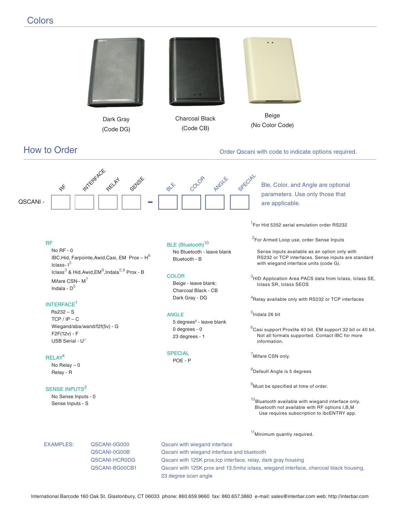# **Colors**

QSCANI -



International Barcode 160 Oak St. Glastonbury, CT 06033 phone: 860.659.9660 fax: 860.657.3860 e-mail: sales@interbar.com web: http://interbar.com